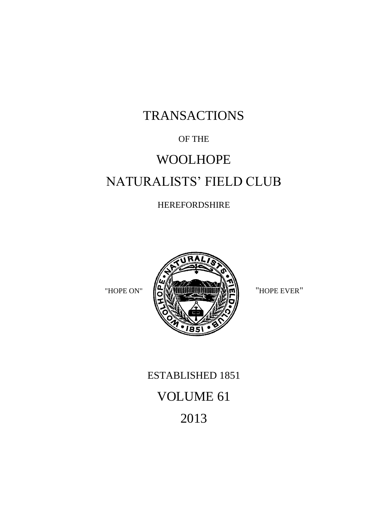# TRANSACTIONS

### OF THE

# WOOLHOPE NATURALISTS' FIELD CLUB

### HEREFORDSHIRE



# ESTABLISHED 1851 VOLUME 61 2013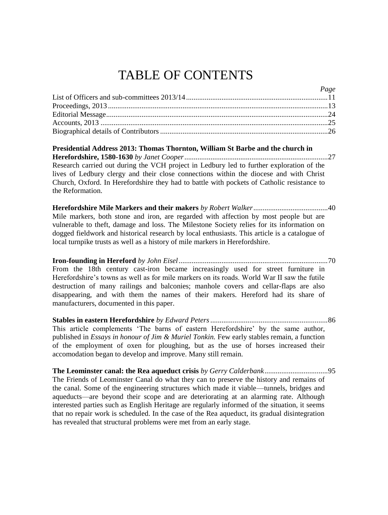# TABLE OF CONTENTS

| $\frac{1}{4}$ |
|---------------|
|               |
|               |
|               |
|               |
|               |
|               |

*Page*

**Presidential Address 2013: Thomas Thornton, William St Barbe and the church in Herefordshire, 1580-1630** *by Janet Cooper*.............................................................................27 Research carried out during the VCH project in Ledbury led to further exploration of the lives of Ledbury clergy and their close connections within the diocese and with Christ Church, Oxford. In Herefordshire they had to battle with pockets of Catholic resistance to the Reformation.

**Herefordshire Mile Markers and their makers** *by Robert Walker*........................................40 Mile markers, both stone and iron, are regarded with affection by most people but are vulnerable to theft, damage and loss. The Milestone Society relies for its information on dogged fieldwork and historical research by local enthusiasts. This article is a catalogue of local turnpike trusts as well as a history of mile markers in Herefordshire.

**Iron-founding in Hereford** *by John Eisel................................................................................*70 From the 18th century cast-iron became increasingly used for street furniture in Herefordshire's towns as well as for mile markers on its roads. World War II saw the futile destruction of many railings and balconies; manhole covers and cellar-flaps are also disappearing, and with them the names of their makers. Hereford had its share of manufacturers, documented in this paper.

**Stables in eastern Herefordshire** *by Edward Peters...............................................................*86 This article complements 'The barns of eastern Herefordshire' by the same author, published in *Essays in honour of Jim & Muriel Tonkin.* Few early stables remain, a function of the employment of oxen for ploughing, but as the use of horses increased their accomodation began to develop and improve. Many still remain.

**The Leominster canal: the Rea aqueduct crisis** *by Gerry Calderbank*..................................95 The Friends of Leominster Canal do what they can to preserve the history and remains of the canal. Some of the engineering structures which made it viable—tunnels, bridges and aqueducts—are beyond their scope and are deteriorating at an alarming rate. Although interested parties such as English Heritage are regularly informed of the situation, it seems that no repair work is scheduled. In the case of the Rea aqueduct, its gradual disintegration has revealed that structural problems were met from an early stage.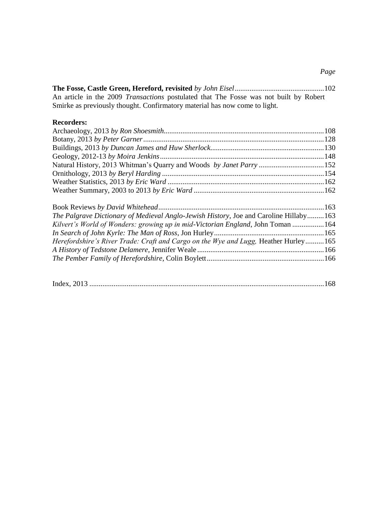**The Fosse, Castle Green, Hereford, revisited** *by John Eisel*................................................102 An article in the 2009 *Transactions* postulated that The Fosse was not built by Robert Smirke as previously thought. Confirmatory material has now come to light.

#### **Recorders:**

| The Palgrave Dictionary of Medieval Anglo-Jewish History, Joe and Caroline Hillaby 163 |  |
|----------------------------------------------------------------------------------------|--|
| Kilvert's World of Wonders: growing up in mid-Victorian England, John Toman  164       |  |
|                                                                                        |  |
| Herefordshire's River Trade: Craft and Cargo on the Wye and Lugg, Heather Hurley165    |  |
|                                                                                        |  |
|                                                                                        |  |
|                                                                                        |  |

|--|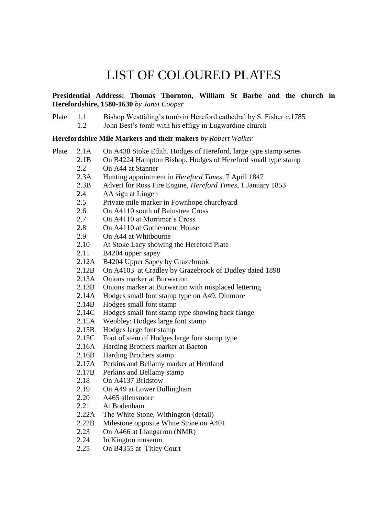## LIST OF COLOURED PLATES

**Presidential Address: Thomas Thornton, William St Barbe and the church in Herefordshire, 1580-1630** *by Janet Cooper*

Plate 1.1 Bishop Westfaling's tomb in Hereford cathedral by S. Fisher *c*.1785 1.2 John Best's tomb with his effigy in Lugwardine church

**Herefordshire Mile Markers and their makers** *by Robert Walker*

| Plate | 2.1A          | On A438 Stoke Edith. Hodges of Hereford, large type stamp series |
|-------|---------------|------------------------------------------------------------------|
|       | 2.1B          | On B4224 Hampton Bishop. Hodges of Hereford small type stamp     |
|       | 2.2           | On A44 at Stanner                                                |
|       | 2.3A          | Hunting appointment in <i>Hereford Times</i> , 7 April 1847      |
|       | 2.3B          | Advert for Ross Fire Engine, Hereford Times, 1 January 1853      |
|       | 2.4           | AA sign at Lingen                                                |
|       | $2.5^{\circ}$ | Private mile marker in Fownhope churchyard                       |
|       | 2.6           | On A4110 south of Bainstree Cross                                |
|       | 2.7           | On A4110 at Mortimer's Cross                                     |
|       | 2.8           | On A4110 at Gotherment House                                     |
|       | 2.9           | On A44 at Whitbourne                                             |
|       | 2.10          | At Stoke Lacy showing the Hereford Plate                         |
|       | 2.11          | B4204 upper sapey                                                |
|       | 2.12A         | B4204 Upper Sapey by Grazebrook                                  |
|       | 2.12B         | On A4103 at Cradley by Grazebrook of Dudley dated 1898           |
|       | 2.13A         | Onions marker at Burwarton                                       |
|       | 2.13B         | Onions marker at Burwarton with misplaced lettering              |
|       | 2.14A         | Hodges small font stamp type on A49, Dinmore                     |
|       | 2.14B         | Hodges small font stamp                                          |
|       | 2.14C         | Hodges small font stamp type showing back flange                 |
|       | 2.15A         | Weobley: Hodges large font stamp                                 |
|       | 2.15B         | Hodges large font stamp                                          |
|       | 2.15C         | Foot of stem of Hodges large font stamp type                     |
|       | 2.16A         | Harding Brothers marker at Bacton                                |
|       | 2.16B         | Harding Brothers stamp                                           |
|       | 2.17A         | Perkins and Bellamy marker at Hentland                           |
|       | 2.17B         | Perkins and Bellamy stamp                                        |
|       | 2.18          | On A4137 Bridstow                                                |
|       | 2.19          | On A49 at Lower Bullingham                                       |
|       | 2.20          | A465 allensmore                                                  |
|       | 2.21          | At Bodenham                                                      |
|       | 2.22A         | The White Stone, Withington (detail)                             |
|       | 2.22B         | Milestone opposite White Stone on A401                           |
|       | 2.23          | On A466 at Llangarron (NMR)                                      |
|       | 2.24          | In Kington museum                                                |
|       |               |                                                                  |

2.25 On B4355 at Titley Court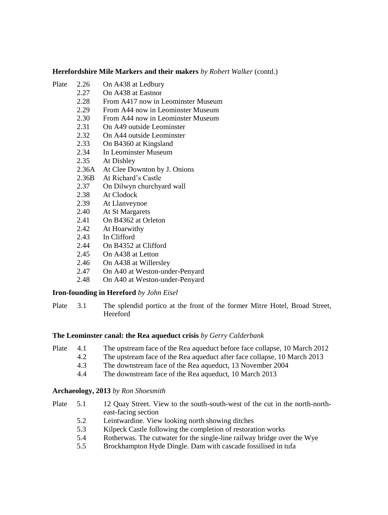#### **Herefordshire Mile Markers and their makers** *by Robert Walker* (contd.)

- Plate 2.26 On A438 at Ledbury
	- 2.27 On A438 at Eastnor<br>2.28 From A417 now in I
	- From A417 now in Leominster Museum
	- 2.29 From A44 now in Leominster Museum
	- 2.30 From A44 now in Leominster Museum<br>2.31 On A49 outside Leominster
	- On A49 outside Leominster
	- 2.32 On A44 outside Leominster
	- 2.33 On B4360 at Kingsland<br>2.34 In Leominster Museum
	- In Leominster Museum
	- 2.35 At Dishley<br>2.36A At Clee Do
	- At Clee Downton by J. Onions
	- 2.36B At Richard's Castle
	- 2.37 On Dilwyn churchyard wall
	- 2.38 At Clodock
	- 2.39 At Llanveynoe
	- 2.40 At St Margarets
	- 2.41 On B4362 at Orleton
	- 2.42 At Hoarwithy
	- 2.43 In Clifford
	- 2.44 On B4352 at Clifford
	- 2.45 On A438 at Letton
	- 2.46 On A438 at Willersley
	- 2.47 On A40 at Weston-under-Penyard
	- 2.48 On A40 at Weston-under-Penyard

#### **Iron-founding in Hereford** *by John Eisel*

Plate 3.1 The splendid portico at the front of the former Mitre Hotel, Broad Street, Hereford

#### **The Leominster canal: the Rea aqueduct crisis** *by Gerry Calderbank*

- Plate 4.1 The upstream face of the Rea aqueduct before face collapse, 10 March 2012
	- 4.2 The upstream face of the Rea aqueduct after face collapse, 10 March 2013
	- 4.3 The downstream face of the Rea aqueduct, 13 November 2004
	- 4.4 The downstream face of the Rea aqueduct, 10 March 2013

#### **Archaeology, 2013** *by Ron Shoesmith*

- Plate 5.1 12 Quay Street. View to the south-south-west of the cut in the north-northeast-facing section
	- 5.2 Leintwardine. View looking north showing ditches
	- 5.3 Kilpeck Castle following the completion of restoration works
	- 5.4 Rotherwas. The cutwater for the single-line railway bridge over the Wye
	- 5.5 Brockhampton Hyde Dingle. Dam with cascade fossilised in tufa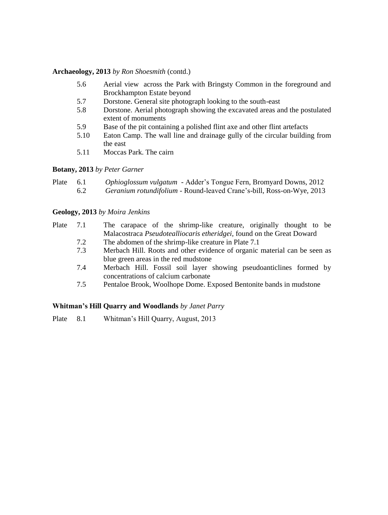#### **Archaeology, 2013** *by Ron Shoesmith* (contd.)

- 5.6 Aerial view across the Park with Bringsty Common in the foreground and Brockhampton Estate beyond
- 5.7 Dorstone. General site photograph looking to the south-east
- 5.8 Dorstone. Aerial photograph showing the excavated areas and the postulated extent of monuments
- 5.9 Base of the pit containing a polished flint axe and other flint artefacts
- 5.10 Eaton Camp. The wall line and drainage gully of the circular building from the east
- 5.11 Moccas Park. The cairn

#### **Botany, 2013** *by Peter Garner*

| Plate | 6.1 | <i>Ophioglossum vulgatum</i> - Adder's Tongue Fern, Bromyard Downs, 2012 |
|-------|-----|--------------------------------------------------------------------------|
|       | 6.2 | Geranium rotundifolium - Round-leaved Crane's-bill, Ross-on-Wye, 2013    |

#### **Geology, 2013** *by Moira Jenkins*

| Plate 7.1 |     | The carapace of the shrimp-like creature, originally thought to be        |
|-----------|-----|---------------------------------------------------------------------------|
|           |     | Malacostraca Pseudotealliocaris etheridgei, found on the Great Doward     |
|           | 7.2 | The abdomen of the shrimp-like creature in Plate 7.1                      |
|           | 7.3 | Merbach Hill. Roots and other evidence of organic material can be seen as |
|           |     | blue green areas in the red mudstone                                      |
|           | 7.4 | Merbach Hill. Fossil soil layer showing pseudoanticlines formed by        |

- concentrations of calcium carbonate
- 7.5 Pentaloe Brook, Woolhope Dome. Exposed Bentonite bands in mudstone

#### **Whitman's Hill Quarry and Woodlands** *by Janet Parry*

Plate 8.1 Whitman's Hill Quarry, August, 2013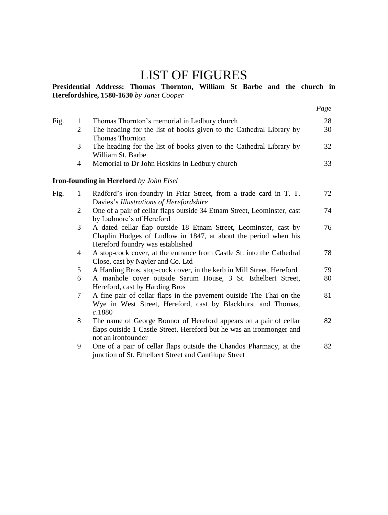## LIST OF FIGURES

#### **Presidential Address: Thomas Thornton, William St Barbe and the church in Herefordshire, 1580-1630** *by Janet Cooper*

|      |                |                                                                                                                                                                        | Page |
|------|----------------|------------------------------------------------------------------------------------------------------------------------------------------------------------------------|------|
| Fig. | $\mathbf{1}$   | Thomas Thornton's memorial in Ledbury church                                                                                                                           | 28   |
|      | 2              | The heading for the list of books given to the Cathedral Library by<br><b>Thomas Thornton</b>                                                                          | 30   |
|      | 3              | The heading for the list of books given to the Cathedral Library by<br>William St. Barbe                                                                               | 32   |
|      | 4              | Memorial to Dr John Hoskins in Ledbury church                                                                                                                          | 33   |
|      |                | <b>Iron-founding in Hereford</b> by John Eisel                                                                                                                         |      |
| Fig. | $\mathbf{1}$   | Radford's iron-foundry in Friar Street, from a trade card in T. T.<br>Davies's Illustrations of Herefordshire                                                          | 72   |
|      | $\overline{2}$ | One of a pair of cellar flaps outside 34 Etnam Street, Leominster, cast<br>by Ladmore's of Hereford                                                                    | 74   |
|      | 3              | A dated cellar flap outside 18 Etnam Street, Leominster, cast by<br>Chaplin Hodges of Ludlow in 1847, at about the period when his<br>Hereford foundry was established | 76   |
|      | 4              | A stop-cock cover, at the entrance from Castle St. into the Cathedral<br>Close, cast by Nayler and Co. Ltd                                                             | 78   |
|      | 5              | A Harding Bros. stop-cock cover, in the kerb in Mill Street, Hereford                                                                                                  | 79   |
|      | 6              | A manhole cover outside Sarum House, 3 St. Ethelbert Street,<br>Hereford, cast by Harding Bros                                                                         | 80   |
|      | 7              | A fine pair of cellar flaps in the pavement outside The Thai on the<br>Wye in West Street, Hereford, cast by Blackhurst and Thomas,<br>c.1880                          | 81   |
|      | 8              | The name of George Bonnor of Hereford appears on a pair of cellar<br>flaps outside 1 Castle Street, Hereford but he was an ironmonger and<br>not an ironfounder        | 82   |
|      | 9              | One of a pair of cellar flaps outside the Chandos Pharmacy, at the<br>junction of St. Ethelbert Street and Cantilupe Street                                            | 82   |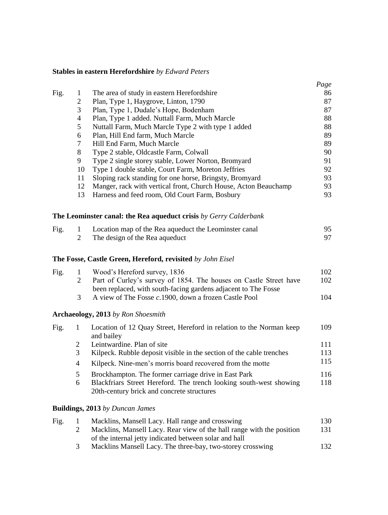#### **Stables in eastern Herefordshire** *by Edward Peters*

|      |                |                                                                   | Page |
|------|----------------|-------------------------------------------------------------------|------|
| Fig. | 1              | The area of study in eastern Herefordshire                        | 86   |
|      | 2              | Plan, Type 1, Haygrove, Linton, 1790                              | 87   |
|      | 3              | Plan, Type 1, Dudale's Hope, Bodenham                             | 87   |
|      | 4              | Plan, Type 1 added. Nuttall Farm, Much Marcle                     | 88   |
|      | 5              | Nuttall Farm, Much Marcle Type 2 with type 1 added                | 88   |
|      | 6              | Plan, Hill End farm, Much Marcle                                  | 89   |
|      | 7              | Hill End Farm, Much Marcle                                        | 89   |
|      | 8              | Type 2 stable, Oldcastle Farm, Colwall                            | 90   |
|      | 9              | Type 2 single storey stable, Lower Norton, Bromyard               | 91   |
|      | 10             | Type 1 double stable, Court Farm, Moreton Jeffries                | 92   |
|      | 11             | Sloping rack standing for one horse, Bringsty, Bromyard           | 93   |
|      | 12             | Manger, rack with vertical front, Church House, Acton Beauchamp   | 93   |
|      | 13             | Harness and feed room, Old Court Farm, Bosbury                    | 93   |
|      |                | The Leominster canal: the Rea aqueduct crisis by Gerry Calderbank |      |
| Fig. | 1              | Location map of the Rea aqueduct the Leominster canal             | 95   |
|      | $\mathfrak{D}$ | The design of the Rea aqueduct                                    | 97   |

#### **The Fosse, Castle Green, Hereford, revisited** *by John Eisel*

| Fig. | $\mathbf{1}$ | Wood's Hereford survey, 1836                                      | 102 |
|------|--------------|-------------------------------------------------------------------|-----|
|      |              | Part of Curley's survey of 1854. The houses on Castle Street have | 102 |
|      |              | been replaced, with south-facing gardens adjacent to The Fosse    |     |
|      | -3.          | A view of The Fosse c.1900, down a frozen Castle Pool             | 104 |
|      |              |                                                                   |     |

#### **Archaeology, 2013** *by Ron Shoesmith*

| Fig. |   | Location of 12 Quay Street, Hereford in relation to the Norman keep  | 109 |
|------|---|----------------------------------------------------------------------|-----|
|      |   | and bailey                                                           |     |
|      |   | Leintwardine. Plan of site                                           | 111 |
|      | 3 | Kilpeck. Rubble deposit visible in the section of the cable trenches | 113 |
|      | 4 | Kilpeck. Nine-men's morris board recovered from the motte            | 115 |
|      | 5 | Brockhampton. The former carriage drive in East Park                 | 116 |
|      | 6 | Blackfriars Street Hereford. The trench looking south-west showing   | 118 |
|      |   | 20th-century brick and concrete structures                           |     |
|      |   |                                                                      |     |

#### **Buildings, 2013** *by Duncan James*

| Fig. | Macklins, Mansell Lacy. Hall range and crosswing                      | 130 |
|------|-----------------------------------------------------------------------|-----|
|      | Macklins, Mansell Lacy. Rear view of the hall range with the position | 131 |
|      | of the internal jetty indicated between solar and hall                |     |
|      | Macklins Mansell Lacy. The three-bay, two-storey crosswing            | 132 |